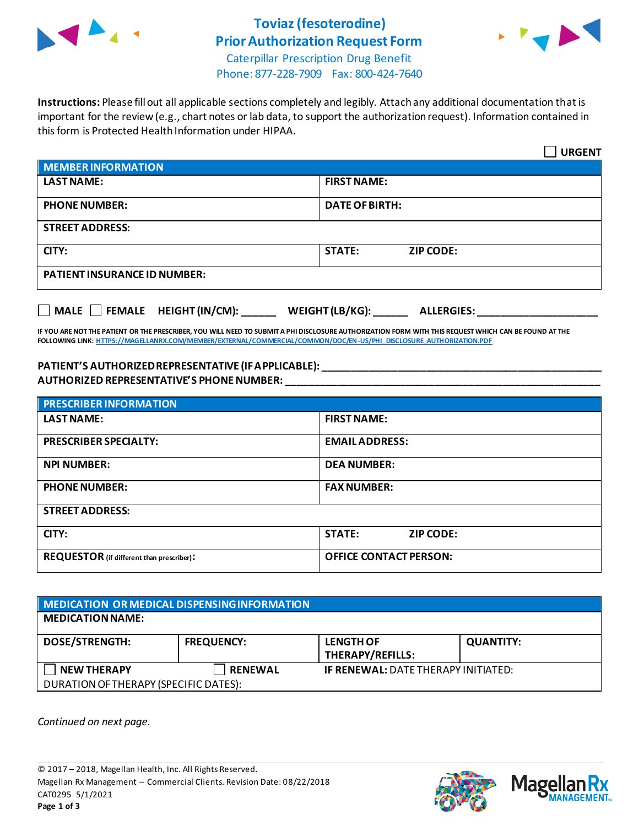

## **Toviaz(fesoterodine) Prior Authorization Request Form**



Caterpillar Prescription Drug Benefit Phone: 877-228-7909 Fax: 800-424-7640

**Instructions:** Please fill out all applicable sections completely and legibly. Attach any additional documentation that is important for the review (e.g., chart notes or lab data, to support the authorization request). Information contained in this form is Protected Health Information under HIPAA.

|                                                                            | <b>URGENT</b>                     |  |  |
|----------------------------------------------------------------------------|-----------------------------------|--|--|
| <b>MEMBER INFORMATION</b>                                                  |                                   |  |  |
| <b>LAST NAME:</b>                                                          | <b>FIRST NAME:</b>                |  |  |
| <b>PHONE NUMBER:</b>                                                       | <b>DATE OF BIRTH:</b>             |  |  |
| <b>STREET ADDRESS:</b>                                                     |                                   |  |  |
| CITY:                                                                      | <b>STATE:</b><br><b>ZIP CODE:</b> |  |  |
| <b>PATIENT INSURANCE ID NUMBER:</b>                                        |                                   |  |  |
| MALE $\Box$ FEMALE HEIGHT (IN/CM):<br>WEIGHT (LB/KG):<br><b>ALLERGIES:</b> |                                   |  |  |

**IF YOU ARE NOT THE PATIENT OR THE PRESCRIBER, YOU WILL NEED TO SUBMIT A PHI DISCLOSURE AUTHORIZATION FORM WITH THIS REQUEST WHICH CAN BE FOUND AT THE FOLLOWING LINK[: HTTPS://MAGELLANRX.COM/MEMBER/EXTERNAL/COMMERCIAL/COMMON/DOC/EN-US/PHI\\_DISCLOSURE\\_AUTHORIZATION.PDF](https://magellanrx.com/member/external/commercial/common/doc/en-us/PHI_Disclosure_Authorization.pdf)**

## **PATIENT'S AUTHORIZED REPRESENTATIVE (IF APPLICABLE): \_\_\_\_\_\_\_\_\_\_\_\_\_\_\_\_\_\_\_\_\_\_\_\_\_\_\_\_\_\_\_\_\_\_\_\_\_\_\_\_\_\_\_\_\_\_\_\_\_ AUTHORIZED REPRESENTATIVE'S PHONE NUMBER: \_\_\_\_\_\_\_\_\_\_\_\_\_\_\_\_\_\_\_\_\_\_\_\_\_\_\_\_\_\_\_\_\_\_\_\_\_\_\_\_\_\_\_\_\_\_\_\_\_\_\_\_\_\_\_**

| <b>PRESCRIBER INFORMATION</b>             |                               |  |
|-------------------------------------------|-------------------------------|--|
| <b>LAST NAME:</b>                         | <b>FIRST NAME:</b>            |  |
| <b>PRESCRIBER SPECIALTY:</b>              | <b>EMAIL ADDRESS:</b>         |  |
| <b>NPI NUMBER:</b>                        | <b>DEA NUMBER:</b>            |  |
| <b>PHONE NUMBER:</b>                      | <b>FAX NUMBER:</b>            |  |
| <b>STREET ADDRESS:</b>                    |                               |  |
| CITY:                                     | <b>STATE:</b><br>ZIP CODE:    |  |
| REQUESTOR (if different than prescriber): | <b>OFFICE CONTACT PERSON:</b> |  |

| MEDICATION OR MEDICAL DISPENSING INFORMATION |                   |                                            |                  |  |  |
|----------------------------------------------|-------------------|--------------------------------------------|------------------|--|--|
| <b>MEDICATION NAME:</b>                      |                   |                                            |                  |  |  |
| <b>DOSE/STRENGTH:</b>                        | <b>FREQUENCY:</b> | <b>LENGTH OF</b><br>THERAPY/REFILLS:       | <b>QUANTITY:</b> |  |  |
| <b>NEW THERAPY</b>                           | <b>RENEWAL</b>    | <b>IF RENEWAL: DATE THERAPY INITIATED:</b> |                  |  |  |
| DURATION OF THERAPY (SPECIFIC DATES):        |                   |                                            |                  |  |  |

*Continued on next page.*



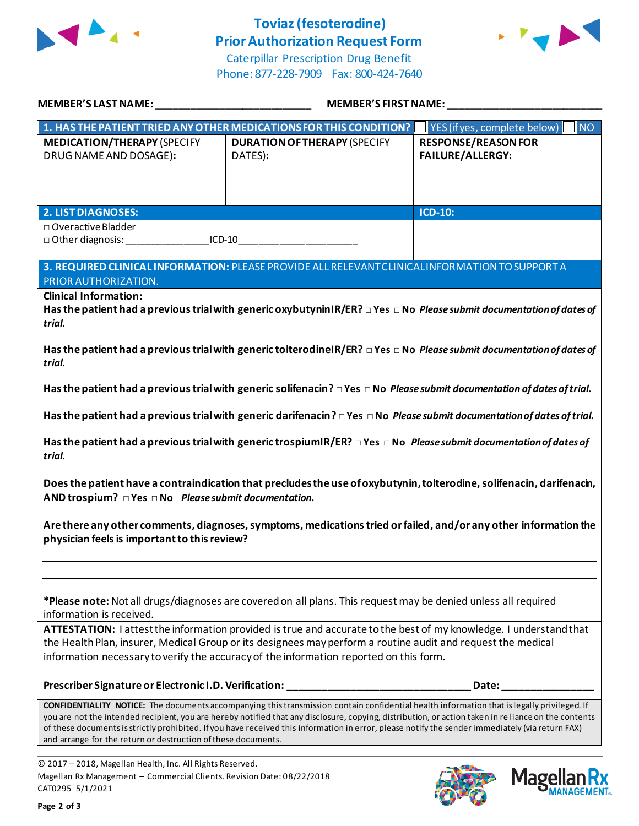

## **Toviaz(fesoterodine) Prior Authorization Request Form**



Caterpillar Prescription Drug Benefit Phone: 877-228-7909 Fax: 800-424-7640

| MEMBER'S LAST NAME: NAME AND A CONTROL CONTROL CONTROL CONTROL CONTROL CONTROL CONTROL CONTROL CONTR                                                                                                                                                                                                                                                                                                                                                                                                                            | MEMBER'S FIRST NAME:                                                                                                               |                                                       |  |  |
|---------------------------------------------------------------------------------------------------------------------------------------------------------------------------------------------------------------------------------------------------------------------------------------------------------------------------------------------------------------------------------------------------------------------------------------------------------------------------------------------------------------------------------|------------------------------------------------------------------------------------------------------------------------------------|-------------------------------------------------------|--|--|
|                                                                                                                                                                                                                                                                                                                                                                                                                                                                                                                                 | 1. HAS THE PATIENT TRIED ANY OTHER MEDICATIONS FOR THIS CONDITION?                                                                 | YES (if yes, complete below)<br><b>NO</b>             |  |  |
| <b>MEDICATION/THERAPY (SPECIFY</b><br>DRUG NAME AND DOSAGE):                                                                                                                                                                                                                                                                                                                                                                                                                                                                    | <b>DURATION OF THERAPY (SPECIFY</b><br>DATES):                                                                                     | <b>RESPONSE/REASON FOR</b><br><b>FAILURE/ALLERGY:</b> |  |  |
| <b>2. LIST DIAGNOSES:</b>                                                                                                                                                                                                                                                                                                                                                                                                                                                                                                       |                                                                                                                                    | <b>ICD-10:</b>                                        |  |  |
| □ Overactive Bladder<br>□ Other diagnosis: __________________________ICD-10____________________________                                                                                                                                                                                                                                                                                                                                                                                                                         |                                                                                                                                    |                                                       |  |  |
| PRIOR AUTHORIZATION.                                                                                                                                                                                                                                                                                                                                                                                                                                                                                                            | 3. REQUIRED CLINICAL INFORMATION: PLEASE PROVIDE ALL RELEVANT CLINICAL INFORMATION TO SUPPORT A                                    |                                                       |  |  |
| <b>Clinical Information:</b><br>Has the patient had a previous trial with generic oxybutyninIR/ER? $\Box$ Yes $\Box$ No Please submit documentation of dates of<br>trial.                                                                                                                                                                                                                                                                                                                                                       |                                                                                                                                    |                                                       |  |  |
| Has the patient had a previous trial with generic tolterodineIR/ER? $\Box$ Yes $\Box$ No Please submit documentation of dates of<br>trial.                                                                                                                                                                                                                                                                                                                                                                                      |                                                                                                                                    |                                                       |  |  |
| Has the patient had a previous trial with generic solifenacin? $\Box$ Yes $\Box$ No Please submit documentation of dates of trial.                                                                                                                                                                                                                                                                                                                                                                                              |                                                                                                                                    |                                                       |  |  |
|                                                                                                                                                                                                                                                                                                                                                                                                                                                                                                                                 | Has the patient had a previous trial with generic darifenacin? $\Box$ Yes $\Box$ No Please submit documentation of dates of trial. |                                                       |  |  |
| Has the patient had a previous trial with generic trospiumIR/ER? $\Box$ Yes $\Box$ No Please submit documentation of dates of<br>trial.                                                                                                                                                                                                                                                                                                                                                                                         |                                                                                                                                    |                                                       |  |  |
| Does the patient have a contraindication that precludes the use of oxybutynin, tolterodine, solifenacin, darifenacin,<br>AND trospium? $\Box$ Yes $\Box$ No Please submit documentation.                                                                                                                                                                                                                                                                                                                                        |                                                                                                                                    |                                                       |  |  |
| Are there any other comments, diagnoses, symptoms, medications tried or failed, and/or any other information the<br>physician feels is important to this review?                                                                                                                                                                                                                                                                                                                                                                |                                                                                                                                    |                                                       |  |  |
|                                                                                                                                                                                                                                                                                                                                                                                                                                                                                                                                 |                                                                                                                                    |                                                       |  |  |
| *Please note: Not all drugs/diagnoses are covered on all plans. This request may be denied unless all required<br>information is received.                                                                                                                                                                                                                                                                                                                                                                                      |                                                                                                                                    |                                                       |  |  |
| ATTESTATION: I attest the information provided is true and accurate to the best of my knowledge. I understand that<br>the Health Plan, insurer, Medical Group or its designees may perform a routine audit and request the medical<br>information necessary to verify the accuracy of the information reported on this form.                                                                                                                                                                                                    |                                                                                                                                    |                                                       |  |  |
|                                                                                                                                                                                                                                                                                                                                                                                                                                                                                                                                 | Prescriber Signature or Electronic I.D. Verification: __________________________                                                   | Date:                                                 |  |  |
| <b>CONFIDENTIALITY NOTICE:</b> The documents accompanying this transmission contain confidential health information that is legally privileged. If<br>you are not the intended recipient, you are hereby notified that any disclosure, copying, distribution, or action taken in re liance on the contents<br>of these documents is strictly prohibited. If you have received this information in error, please notify the sender immediately (via return FAX)<br>and arrange for the return or destruction of these documents. |                                                                                                                                    |                                                       |  |  |

© 2017 – 2018, Magellan Health, Inc. All Rights Reserved. Magellan Rx Management – Commercial Clients. Revision Date: 08/22/2018 CAT0295 5/1/2021



**Magel** 

**JANAGEMENT**<sub>SM</sub>